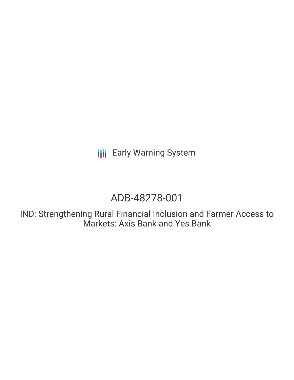**III** Early Warning System

# ADB-48278-001

IND: Strengthening Rural Financial Inclusion and Farmer Access to Markets: Axis Bank and Yes Bank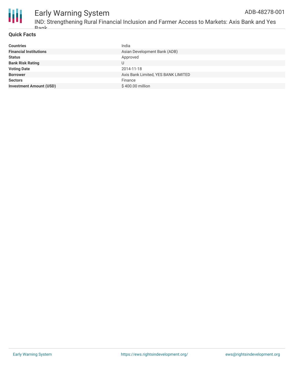

#### Early Warning System IND: Strengthening Rural Financial Inclusion and Farmer Access to Markets: Axis Bank and Yes ADB-48278-001

#### **Quick Facts**

Bank

| <b>Countries</b>               | India                               |
|--------------------------------|-------------------------------------|
| <b>Financial Institutions</b>  | Asian Development Bank (ADB)        |
| <b>Status</b>                  | Approved                            |
| <b>Bank Risk Rating</b>        | U                                   |
| <b>Voting Date</b>             | 2014-11-18                          |
| <b>Borrower</b>                | Axis Bank Limited, YES BANK LIMITED |
| <b>Sectors</b>                 | Finance                             |
| <b>Investment Amount (USD)</b> | \$400.00 million                    |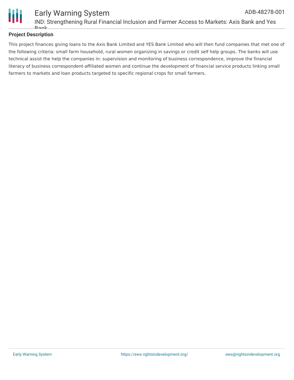

## **Project Description**

This project finances giving loans to the Axis Bank Limited and YES Bank Limited who will then fund companies that met one of the following criteria: small farm household, rural women organizing in savings or credit self help groups. The banks will use technical assist the help the companies in: supervision and monitoring of business correspondence, improve the financial literacy of business correspondent-affiliated women and continue the development of financial service products linking small farmers to markets and loan products targeted to specific regional crops for small farmers.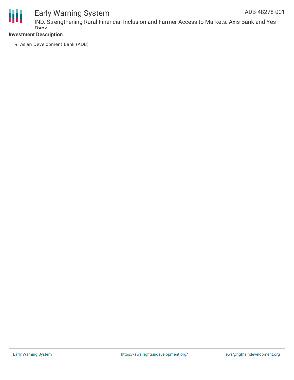

# Early Warning System

# **Investment Description**

Bank

Asian Development Bank (ADB)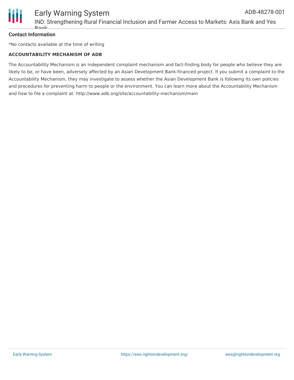

### **Contact Information**

\*No contacts available at the time of writing

#### **ACCOUNTABILITY MECHANISM OF ADB**

The Accountability Mechanism is an independent complaint mechanism and fact-finding body for people who believe they are likely to be, or have been, adversely affected by an Asian Development Bank-financed project. If you submit a complaint to the Accountability Mechanism, they may investigate to assess whether the Asian Development Bank is following its own policies and procedures for preventing harm to people or the environment. You can learn more about the Accountability Mechanism and how to file a complaint at: http://www.adb.org/site/accountability-mechanism/main